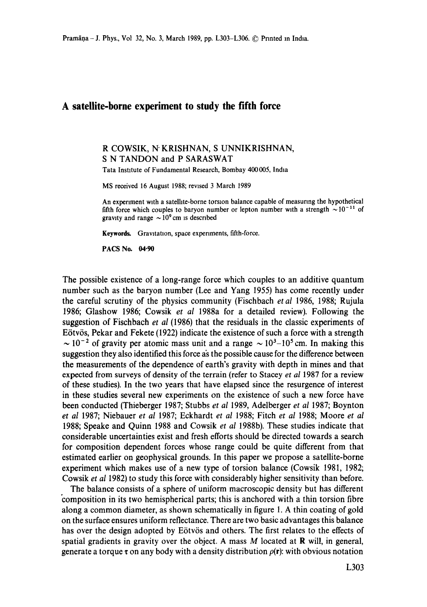## **A satellite-borne experiment to study the fifth force**

R COWSIK, N' KRISHNAN, S UNNIKRISHNAN, S N TANDON and P SARASWAT

Tata Institute of Fundamental Research, Bombay 400 005, India

MS received 16 August 1988; revised 3 March 1989

An experiment with a satelhte-borne torsion balance capable of measuring the hypothetical fifth force which couples to baryon number or lepton number with a strength  $\sim 10^{-11}$  of gravity and range  $\sim 10^9$  cm is described

Keywords. Gravitation, space experiments, fifth-force.

**PACS No. 04.90** 

The possible existence of a long-range force which couples to an additive quantum number such as the baryon number (Lee and Yang 1955) has come recently under the careful scrutiny of the physics community (Fischbach *etal* 1986, 1988; Rujula 1986; Glashow 1986; Cowsik *et al* 1988a for a detailed review). Following the suggestion of Fischbach *et al* (1986) that the residuals in the classic experiments of E6tv6s, Pekar and Fekete (1922) indicate the existence of such a force with a strength  $\sim 10^{-2}$  of gravity per atomic mass unit and a range  $\sim 10^{3}$ –10<sup>5</sup> cm. In making this suggestion they also identified this force as the possible cause for the difference between the measurements of the dependence of earth's gravity with depth in mines and that expected from surveys of density of the terrain (refer to Stacey *et al* 1987 for a review of these studies). In the two years that have elapsed since the resurgence of interest in these studies several new experiments on the existence of such a new force have been conducted (Thieberger 1987; Stubbs *et al* 1989, Adelberger *et al* 1987; Boynton *et al* 1987; Niebauer *et al* 1987; Eckhardt *et al* 1988; Fitch *et al* 1988; Moore *et al*  1988; Speake and Quinn 1988 and Cowsik *et al* 1988b). These studies indicate that considerable uncertainties exist and fresh efforts should be directed towards a search for composition dependent forces whose range could be quite different from that estimated earlier on geophysical grounds. In this paper we propose a satellite-borne experiment which makes use of a new type of torsion balance (Cowsik 1981, 1982; Cowsik *et al* 1982) to study this force with considerably higher sensitivity than before.

The balance consists of a sphere of uniform macroscopic density but has different "composition in its two hemispherical parts; this is anchored with a thin torsion fibre along a common diameter, as shown schematically in figure I. A thin coating of gold on the surface ensures uniform reflectance. There are two basic advantages this balance has over the design adopted by Eötvös and others. The first relates to the effects of spatial gradients in gravity over the object. A mass  $M$  located at  $\bf{R}$  will, in general, generate a torque  $\tau$  on any body with a density distribution  $\rho(\mathbf{r})$ : with obvious notation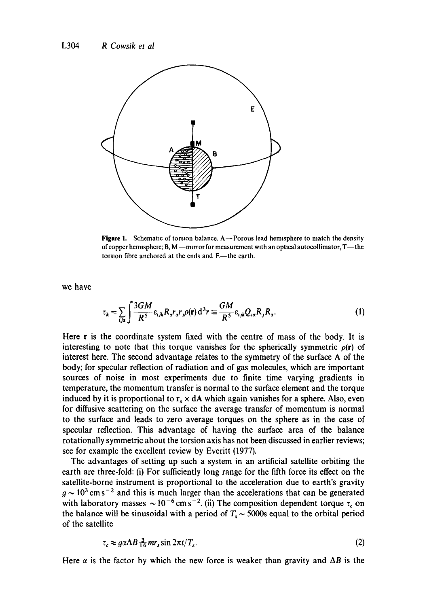

**Figure 1.** Schematic of torsion balance. A—Porous lead hemisphere to match the density of copper hemisphere;  $B, M$  -- mirror for measurement with an optical autocollimator,  $T$ --the torsion fibre anchored at the ends and E-the earth.

we have

$$
\tau_k = \sum_{i,j\alpha} \int \frac{3GM}{R^5} \varepsilon_{ijk} R_a r_a r_j \rho(\mathbf{r}) d^3 r \equiv \frac{GM}{R^5} \varepsilon_{ijk} Q_{i\alpha} R_j R_a.
$$
 (1)

Here r is the coordinate system fixed with the centre of mass of the body. It is interesting to note that this torque vanishes for the spherically symmetric  $\rho(\mathbf{r})$  of interest here. The second advantage relates to the symmetry of the surface A of the body; for specular reflection of radiation and of gas molecules, which are important sources of noise in most experiments due to finite time varying gradients in temperature, the momentum transfer is normal to the surface element and the torque induced by it is proportional to  $r_s \times dA$  which again vanishes for a sphere. Also, even for diffusive scattering on the surface the average transfer of momentum is normal to the surface and leads to zero average torques on the sphere as in the case of specular reflection. This advantage of having the surface area of the balance rotationally symmetric about the torsion axis has not been discussed in earlier reviews; see for example the excellent review by Everitt (1977).

The advantages of setting up such a system in an artificial satellite orbiting the earth are three-fold: (i) For sufficiently long range for the fifth force its effect on the satellite-borne instrument is proportional to the acceleration due to earth's gravity  $q \sim 10^3$  cm s<sup>-2</sup> and this is much larger than the accelerations that can be generated with laboratory masses  $\sim 10^{-6}$  cm s<sup>-2</sup>. (ii) The composition dependent torque  $\tau_c$  on the balance will be sinusoidal with a period of  $T_s \sim 5000s$  equal to the orbital period of the satellite

$$
\tau_c \approx g \alpha \Delta B \frac{3}{16} m r_s \sin 2\pi t / T_s. \tag{2}
$$

Here  $\alpha$  is the factor by which the new force is weaker than gravity and  $\Delta B$  is the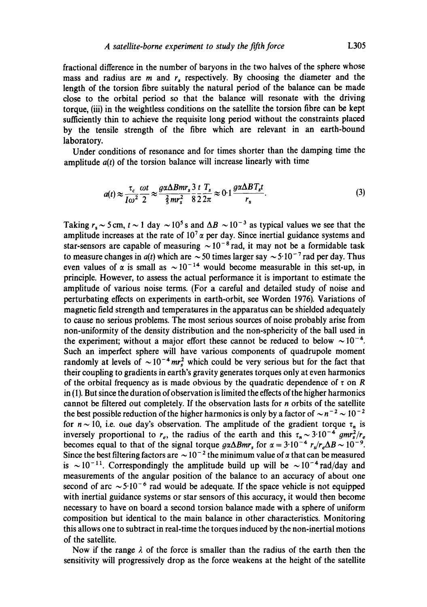fractional difference in the number of baryons in the two halves of the sphere whose mass and radius are  $m$  and  $r<sub>s</sub>$  respectively. By choosing the diameter and the length of the torsion fibre suitably the natural period of the balance can be made close to the orbital period so that the balance will resonate with the driving torque, (iii) in the weightless conditions on the satellite the torsion fibre can be kept sufficiently thin to achieve the requisite long period without the constraints placed by the tensile strength of the fibre which are relevant in an earth-bound laboratory.

Under conditions of resonance and for times shorter than the damping time the amplitude *a(t)* of the torsion balance will increase linearly with time

$$
a(t) \approx \frac{\tau_c}{I\omega^2} \frac{\omega t}{2} \approx \frac{g\alpha \Delta Bmr_s}{\frac{2}{5}mr_s^2} \frac{3}{8} \frac{t}{2} \frac{T_s}{2\pi} \approx 0.1 \frac{g\alpha \Delta BT_s t}{r_s}.
$$
 (3)

Taking  $r_s \sim 5$  cm,  $t \sim 1$  day  $\sim 10^5$  s and  $\Delta B \sim 10^{-3}$  as typical values we see that the amplitude increases at the rate of  $10^{7} \alpha$  per day. Since inertial guidance systems and star-sensors are capable of measuring  $\sim 10^{-8}$  rad, it may not be a formidable task to measure changes in  $a(t)$  which are  $\sim$  50 times larger say  $\sim$  5.10<sup>-7</sup> rad per day. Thus even values of  $\alpha$  is small as  $\sim 10^{-14}$  would become measurable in this set-up, in principle. However, to assess the actual performance it is important to estimate the amplitude of various noise terms. (For a careful and detailed study of noise and perturbating effects on experiments in earth-orbit, see Worden 1976). Variations of magnetic field strength and temperatures in the apparatus can be shielded adequately to cause no serious problems. The most serious sources of noise probably arise from non-uniformity of the density distribution and the non-sphericity of the ball used in the experiment; without a major effort these cannot be reduced to below  $\sim 10^{-4}$ . Such an imperfect sphere will have various components of quadrupole moment randomly at levels of  $\sim 10^{-4}$  mr<sup>2</sup> which could be very serious but for the fact that their coupling to gradients in earth's gravity generates torques only at even harmonics of the orbital frequency as is made obvious by the quadratic dependence of  $\tau$  on R in (1). But since the duration of observation is limited the effects of the higher harmonics cannot be filtered out completely. If the observation lasts for n orbits of the satellite the best possible reduction of the higher harmonics is only by a factor of  $\sim n^{-2} \sim 10^{-2}$ for  $n \sim 10$ , i.e. one day's observation. The amplitude of the gradient torque  $\tau_n$  is inversely proportional to  $r_e$ , the radius of the earth and this  $\tau_n \sim 3.10^{-4}$  gmr<sup>2</sup>/ $r_e$ becomes equal to that of the signal torque  $g\alpha\Delta Bmr_s$  for  $\alpha = 3.10^{-4} r_s/r_e\Delta B \sim 10^{-9}$ . Since the best filtering factors are  $\sim 10^{-2}$  the minimum value of  $\alpha$  that can be measured is  $\sim 10^{-11}$ . Correspondingly the amplitude build up will be  $\sim 10^{-4}$  rad/day and measurements of the angular position of the balance to an accuracy of about one second of arc  $\sim 5.10^{-6}$  rad would be adequate. If the space vehicle is not equipped with inertial guidance systems or star sensors of this accuracy, it would then become necessary to have on board a second torsion balance made with a sphere of uniform composition but identical to the main balance in other characteristics. Monitoring this allows one to subtract in real-time the torques induced by the non-inertial motions of the satellite.

Now if the range  $\lambda$  of the force is smaller than the radius of the earth then the sensitivity will progressively drop as the force weakens at the height of the satellite